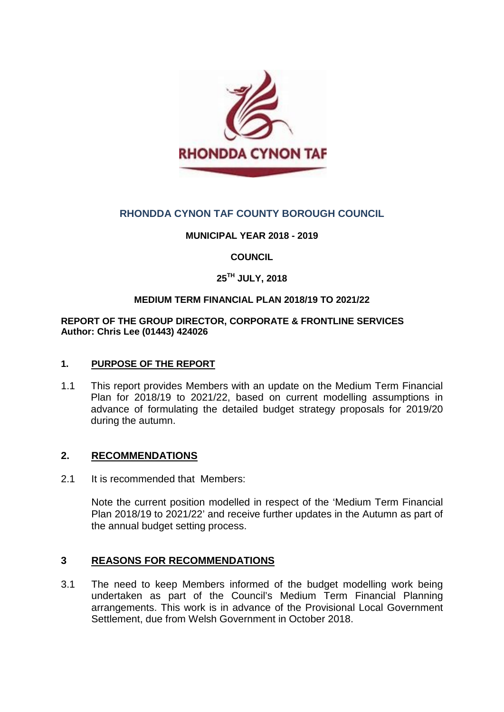

# **RHONDDA CYNON TAF COUNTY BOROUGH COUNCIL**

# **MUNICIPAL YEAR 2018 - 2019**

# **COUNCIL**

# **25TH JULY, 2018**

### **MEDIUM TERM FINANCIAL PLAN 2018/19 TO 2021/22**

#### **REPORT OF THE GROUP DIRECTOR, CORPORATE & FRONTLINE SERVICES Author: Chris Lee (01443) 424026**

### **1. PURPOSE OF THE REPORT**

1.1 This report provides Members with an update on the Medium Term Financial Plan for 2018/19 to 2021/22, based on current modelling assumptions in advance of formulating the detailed budget strategy proposals for 2019/20 during the autumn.

### **2. RECOMMENDATIONS**

2.1 It is recommended that Members:

Note the current position modelled in respect of the 'Medium Term Financial Plan 2018/19 to 2021/22' and receive further updates in the Autumn as part of the annual budget setting process.

### **3 REASONS FOR RECOMMENDATIONS**

3.1 The need to keep Members informed of the budget modelling work being undertaken as part of the Council's Medium Term Financial Planning arrangements. This work is in advance of the Provisional Local Government Settlement, due from Welsh Government in October 2018.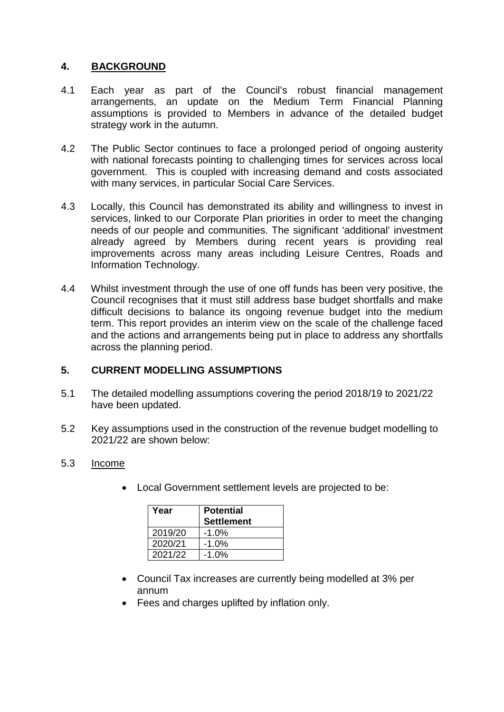# **4. BACKGROUND**

- 4.1 Each year as part of the Council's robust financial management arrangements, an update on the Medium Term Financial Planning assumptions is provided to Members in advance of the detailed budget strategy work in the autumn.
- 4.2 The Public Sector continues to face a prolonged period of ongoing austerity with national forecasts pointing to challenging times for services across local government. This is coupled with increasing demand and costs associated with many services, in particular Social Care Services.
- 4.3 Locally, this Council has demonstrated its ability and willingness to invest in services, linked to our Corporate Plan priorities in order to meet the changing needs of our people and communities. The significant 'additional' investment already agreed by Members during recent years is providing real improvements across many areas including Leisure Centres, Roads and Information Technology.
- 4.4 Whilst investment through the use of one off funds has been very positive, the Council recognises that it must still address base budget shortfalls and make difficult decisions to balance its ongoing revenue budget into the medium term. This report provides an interim view on the scale of the challenge faced and the actions and arrangements being put in place to address any shortfalls across the planning period.

# **5. CURRENT MODELLING ASSUMPTIONS**

- 5.1 The detailed modelling assumptions covering the period 2018/19 to 2021/22 have been updated.
- 5.2 Key assumptions used in the construction of the revenue budget modelling to 2021/22 are shown below:

# 5.3 Income

• Local Government settlement levels are projected to be:

| Year    | <b>Potential</b><br><b>Settlement</b> |
|---------|---------------------------------------|
| 2019/20 | -1.0%                                 |
| 2020/21 | -1.0%                                 |
| 2021/22 | $-1.0%$                               |

- Council Tax increases are currently being modelled at 3% per annum
- Fees and charges uplifted by inflation only.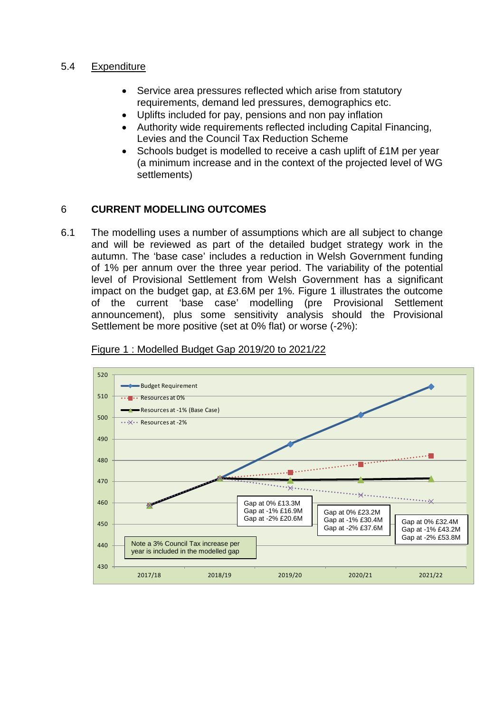## 5.4 Expenditure

- Service area pressures reflected which arise from statutory requirements, demand led pressures, demographics etc.
- Uplifts included for pay, pensions and non pay inflation
- Authority wide requirements reflected including Capital Financing, Levies and the Council Tax Reduction Scheme
- Schools budget is modelled to receive a cash uplift of £1M per year (a minimum increase and in the context of the projected level of WG settlements)

# 6 **CURRENT MODELLING OUTCOMES**

6.1 The modelling uses a number of assumptions which are all subject to change and will be reviewed as part of the detailed budget strategy work in the autumn. The 'base case' includes a reduction in Welsh Government funding of 1% per annum over the three year period. The variability of the potential level of Provisional Settlement from Welsh Government has a significant impact on the budget gap, at £3.6M per 1%. Figure 1 illustrates the outcome of the current 'base case' modelling (pre Provisional Settlement announcement), plus some sensitivity analysis should the Provisional Settlement be more positive (set at 0% flat) or worse (-2%):



#### Figure 1 : Modelled Budget Gap 2019/20 to 2021/22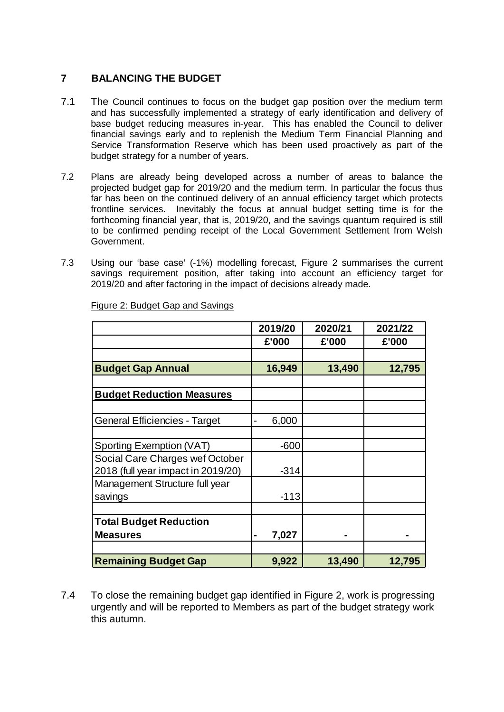# **7 BALANCING THE BUDGET**

- 7.1 The Council continues to focus on the budget gap position over the medium term and has successfully implemented a strategy of early identification and delivery of base budget reducing measures in-year. This has enabled the Council to deliver financial savings early and to replenish the Medium Term Financial Planning and Service Transformation Reserve which has been used proactively as part of the budget strategy for a number of years.
- 7.2 Plans are already being developed across a number of areas to balance the projected budget gap for 2019/20 and the medium term. In particular the focus thus far has been on the continued delivery of an annual efficiency target which protects frontline services. Inevitably the focus at annual budget setting time is for the forthcoming financial year, that is, 2019/20, and the savings quantum required is still to be confirmed pending receipt of the Local Government Settlement from Welsh Government.
- 7.3 Using our 'base case' (-1%) modelling forecast, Figure 2 summarises the current savings requirement position, after taking into account an efficiency target for 2019/20 and after factoring in the impact of decisions already made.

|                                      | 2019/20                               | 2020/21 | 2021/22 |
|--------------------------------------|---------------------------------------|---------|---------|
|                                      | £'000                                 | £'000   | £'000   |
|                                      |                                       |         |         |
| <b>Budget Gap Annual</b>             | 16,949                                | 13,490  | 12,795  |
|                                      |                                       |         |         |
| <b>Budget Reduction Measures</b>     |                                       |         |         |
|                                      |                                       |         |         |
| <b>General Efficiencies - Target</b> | 6,000<br>$\qquad \qquad \blacksquare$ |         |         |
|                                      |                                       |         |         |
| Sporting Exemption (VAT)             | -600                                  |         |         |
| Social Care Charges wef October      |                                       |         |         |
| 2018 (full year impact in 2019/20)   | $-314$                                |         |         |
| Management Structure full year       |                                       |         |         |
| savings                              | $-113$                                |         |         |
|                                      |                                       |         |         |
| <b>Total Budget Reduction</b>        |                                       |         |         |
| <b>Measures</b>                      | 7,027<br>$\blacksquare$               |         |         |
|                                      |                                       |         |         |
| <b>Remaining Budget Gap</b>          | 9,922                                 | 13,490  | 12,795  |

Figure 2: Budget Gap and Savings

7.4 To close the remaining budget gap identified in Figure 2, work is progressing urgently and will be reported to Members as part of the budget strategy work this autumn.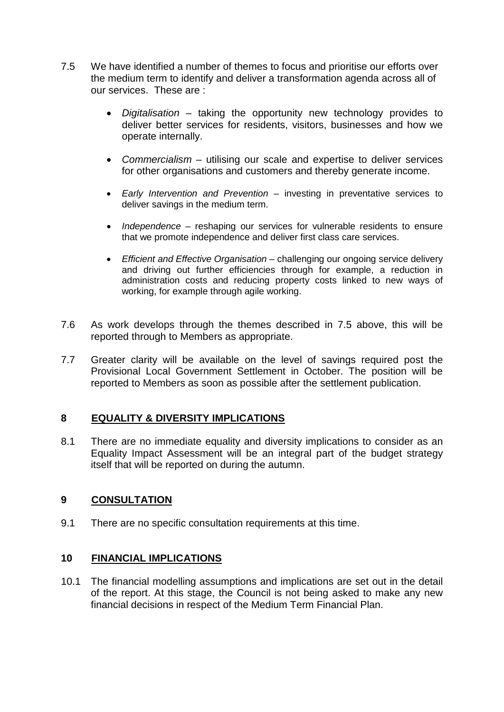- 7.5 We have identified a number of themes to focus and prioritise our efforts over the medium term to identify and deliver a transformation agenda across all of our services. These are :
	- *Digitalisation* taking the opportunity new technology provides to deliver better services for residents, visitors, businesses and how we operate internally.
	- *Commercialism* utilising our scale and expertise to deliver services for other organisations and customers and thereby generate income.
	- *Early Intervention and Prevention* investing in preventative services to deliver savings in the medium term.
	- *Independence* reshaping our services for vulnerable residents to ensure that we promote independence and deliver first class care services.
	- *Efficient and Effective Organisation* challenging our ongoing service delivery and driving out further efficiencies through for example, a reduction in administration costs and reducing property costs linked to new ways of working, for example through agile working.
- 7.6 As work develops through the themes described in 7.5 above, this will be reported through to Members as appropriate.
- 7.7 Greater clarity will be available on the level of savings required post the Provisional Local Government Settlement in October. The position will be reported to Members as soon as possible after the settlement publication.

# **8 EQUALITY & DIVERSITY IMPLICATIONS**

8.1 There are no immediate equality and diversity implications to consider as an Equality Impact Assessment will be an integral part of the budget strategy itself that will be reported on during the autumn.

### **9 CONSULTATION**

9.1 There are no specific consultation requirements at this time.

### **10 FINANCIAL IMPLICATIONS**

10.1 The financial modelling assumptions and implications are set out in the detail of the report. At this stage, the Council is not being asked to make any new financial decisions in respect of the Medium Term Financial Plan.